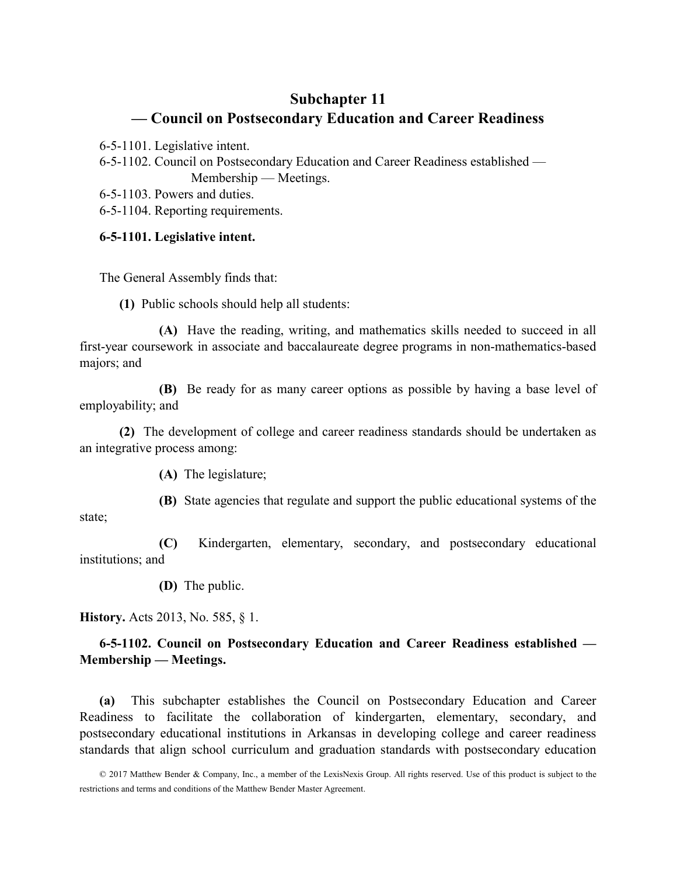# Subchapter 11 — Council on Postsecondary Education and Career Readiness

6-5-1101. Legislative intent.

6-5-1102. Council on Postsecondary Education and Career Readiness established — Membership — Meetings.

6-5-1103. Powers and duties.

6-5-1104. Reporting requirements.

### 6-5-1101. Legislative intent.

The General Assembly finds that:

(1) Public schools should help all students:

(A) Have the reading, writing, and mathematics skills needed to succeed in all first-year coursework in associate and baccalaureate degree programs in non-mathematics-based majors; and

(B) Be ready for as many career options as possible by having a base level of employability; and

(2) The development of college and career readiness standards should be undertaken as an integrative process among:

(A) The legislature;

(B) State agencies that regulate and support the public educational systems of the

state;

(C) Kindergarten, elementary, secondary, and postsecondary educational institutions; and

(D) The public.

History. Acts 2013, No. 585, § 1.

## 6-5-1102. Council on Postsecondary Education and Career Readiness established — Membership — Meetings.

(a) This subchapter establishes the Council on Postsecondary Education and Career Readiness to facilitate the collaboration of kindergarten, elementary, secondary, and postsecondary educational institutions in Arkansas in developing college and career readiness standards that align school curriculum and graduation standards with postsecondary education

<sup>© 2017</sup> Matthew Bender & Company, Inc., a member of the LexisNexis Group. All rights reserved. Use of this product is subject to the restrictions and terms and conditions of the Matthew Bender Master Agreement.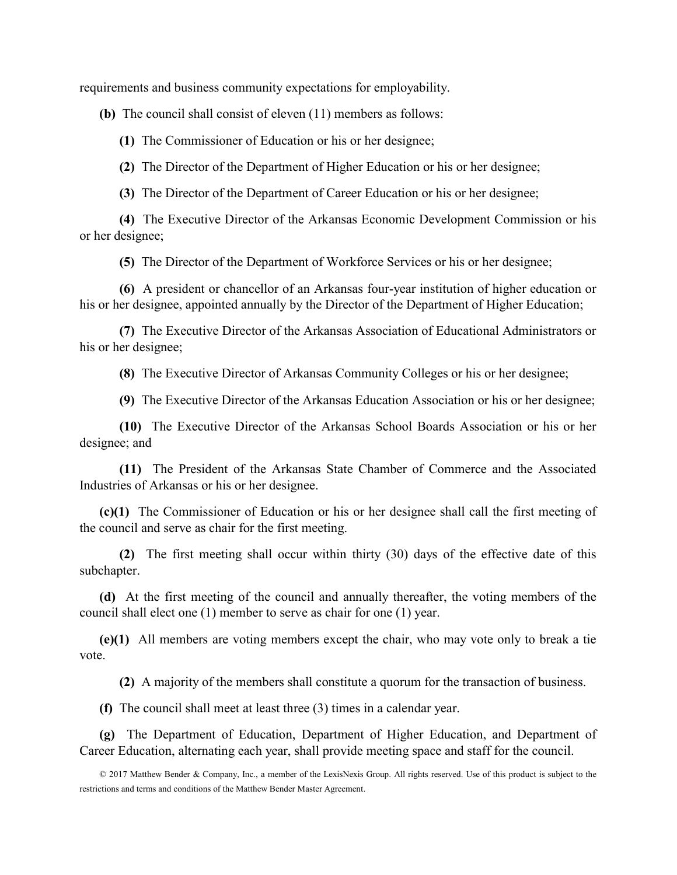requirements and business community expectations for employability.

(b) The council shall consist of eleven (11) members as follows:

(1) The Commissioner of Education or his or her designee;

(2) The Director of the Department of Higher Education or his or her designee;

(3) The Director of the Department of Career Education or his or her designee;

(4) The Executive Director of the Arkansas Economic Development Commission or his or her designee;

(5) The Director of the Department of Workforce Services or his or her designee;

(6) A president or chancellor of an Arkansas four-year institution of higher education or his or her designee, appointed annually by the Director of the Department of Higher Education;

(7) The Executive Director of the Arkansas Association of Educational Administrators or his or her designee;

(8) The Executive Director of Arkansas Community Colleges or his or her designee;

(9) The Executive Director of the Arkansas Education Association or his or her designee;

(10) The Executive Director of the Arkansas School Boards Association or his or her designee; and

(11) The President of the Arkansas State Chamber of Commerce and the Associated Industries of Arkansas or his or her designee.

(c)(1) The Commissioner of Education or his or her designee shall call the first meeting of the council and serve as chair for the first meeting.

(2) The first meeting shall occur within thirty (30) days of the effective date of this subchapter.

(d) At the first meeting of the council and annually thereafter, the voting members of the council shall elect one (1) member to serve as chair for one (1) year.

(e)(1) All members are voting members except the chair, who may vote only to break a tie vote.

(2) A majority of the members shall constitute a quorum for the transaction of business.

(f) The council shall meet at least three (3) times in a calendar year.

(g) The Department of Education, Department of Higher Education, and Department of Career Education, alternating each year, shall provide meeting space and staff for the council.

<sup>© 2017</sup> Matthew Bender & Company, Inc., a member of the LexisNexis Group. All rights reserved. Use of this product is subject to the restrictions and terms and conditions of the Matthew Bender Master Agreement.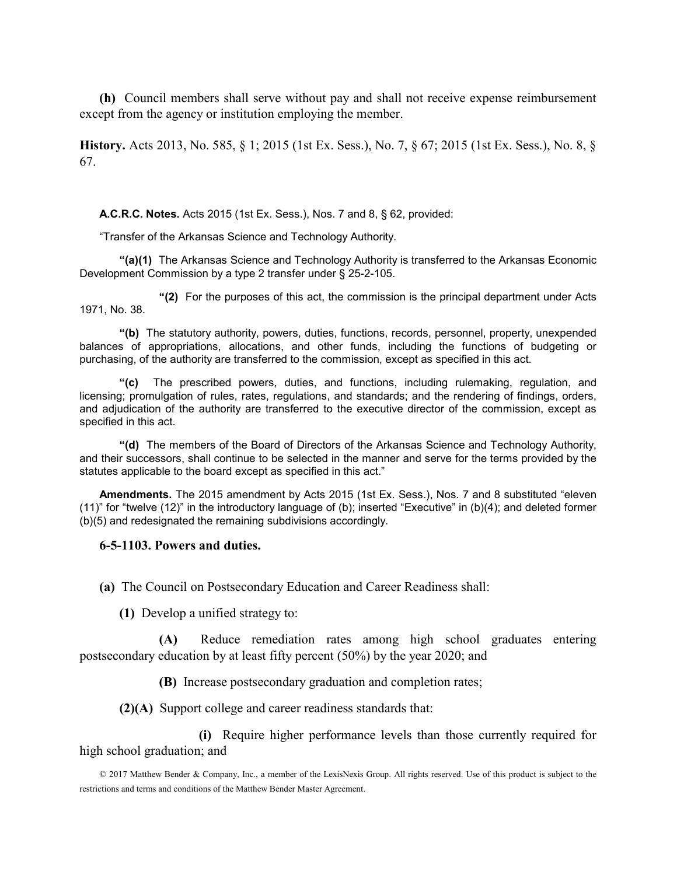(h) Council members shall serve without pay and shall not receive expense reimbursement except from the agency or institution employing the member.

History. Acts 2013, No. 585, § 1; 2015 (1st Ex. Sess.), No. 7, § 67; 2015 (1st Ex. Sess.), No. 8, § 67.

A.C.R.C. Notes. Acts 2015 (1st Ex. Sess.), Nos. 7 and 8, § 62, provided:

"Transfer of the Arkansas Science and Technology Authority.

"(a)(1) The Arkansas Science and Technology Authority is transferred to the Arkansas Economic Development Commission by a type 2 transfer under § 25-2-105.

"(2) For the purposes of this act, the commission is the principal department under Acts 1971, No. 38.

"(b) The statutory authority, powers, duties, functions, records, personnel, property, unexpended balances of appropriations, allocations, and other funds, including the functions of budgeting or purchasing, of the authority are transferred to the commission, except as specified in this act.

"(c) The prescribed powers, duties, and functions, including rulemaking, regulation, and licensing; promulgation of rules, rates, regulations, and standards; and the rendering of findings, orders, and adjudication of the authority are transferred to the executive director of the commission, except as specified in this act.

"(d) The members of the Board of Directors of the Arkansas Science and Technology Authority, and their successors, shall continue to be selected in the manner and serve for the terms provided by the statutes applicable to the board except as specified in this act."

Amendments. The 2015 amendment by Acts 2015 (1st Ex. Sess.), Nos. 7 and 8 substituted "eleven (11)" for "twelve (12)" in the introductory language of (b); inserted "Executive" in (b)(4); and deleted former (b)(5) and redesignated the remaining subdivisions accordingly.

#### 6-5-1103. Powers and duties.

(a) The Council on Postsecondary Education and Career Readiness shall:

(1) Develop a unified strategy to:

(A) Reduce remediation rates among high school graduates entering postsecondary education by at least fifty percent (50%) by the year 2020; and

(B) Increase postsecondary graduation and completion rates;

(2)(A) Support college and career readiness standards that:

 (i) Require higher performance levels than those currently required for high school graduation; and

© 2017 Matthew Bender & Company, Inc., a member of the LexisNexis Group. All rights reserved. Use of this product is subject to the restrictions and terms and conditions of the Matthew Bender Master Agreement.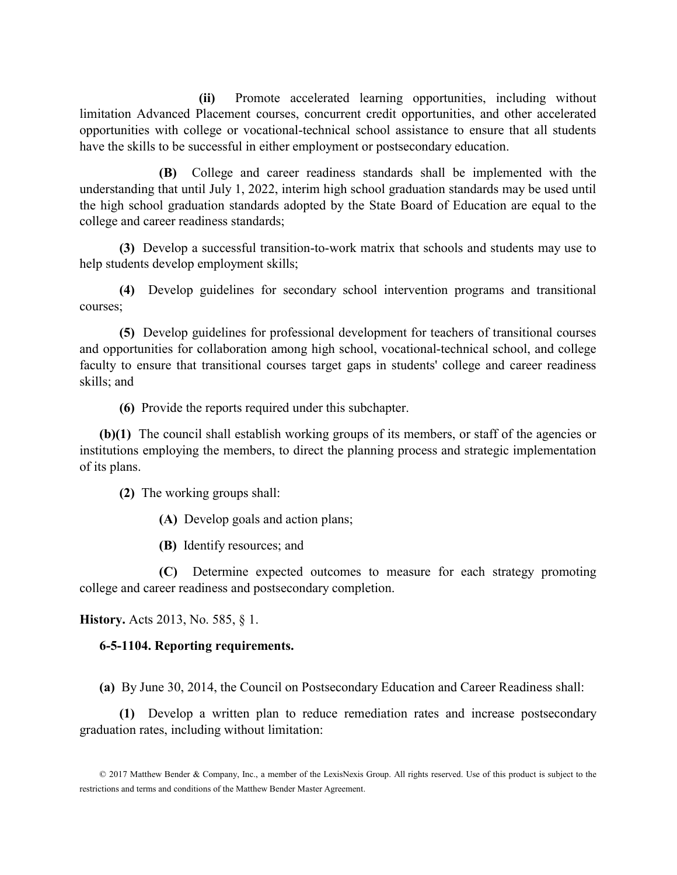(ii) Promote accelerated learning opportunities, including without limitation Advanced Placement courses, concurrent credit opportunities, and other accelerated opportunities with college or vocational-technical school assistance to ensure that all students have the skills to be successful in either employment or postsecondary education.

(B) College and career readiness standards shall be implemented with the understanding that until July 1, 2022, interim high school graduation standards may be used until the high school graduation standards adopted by the State Board of Education are equal to the college and career readiness standards;

(3) Develop a successful transition-to-work matrix that schools and students may use to help students develop employment skills;

(4) Develop guidelines for secondary school intervention programs and transitional courses;

(5) Develop guidelines for professional development for teachers of transitional courses and opportunities for collaboration among high school, vocational-technical school, and college faculty to ensure that transitional courses target gaps in students' college and career readiness skills; and

(6) Provide the reports required under this subchapter.

(b)(1) The council shall establish working groups of its members, or staff of the agencies or institutions employing the members, to direct the planning process and strategic implementation of its plans.

(2) The working groups shall:

(A) Develop goals and action plans;

(B) Identify resources; and

(C) Determine expected outcomes to measure for each strategy promoting college and career readiness and postsecondary completion.

History. Acts 2013, No. 585, § 1.

### 6-5-1104. Reporting requirements.

(a) By June 30, 2014, the Council on Postsecondary Education and Career Readiness shall:

(1) Develop a written plan to reduce remediation rates and increase postsecondary graduation rates, including without limitation:

<sup>© 2017</sup> Matthew Bender & Company, Inc., a member of the LexisNexis Group. All rights reserved. Use of this product is subject to the restrictions and terms and conditions of the Matthew Bender Master Agreement.